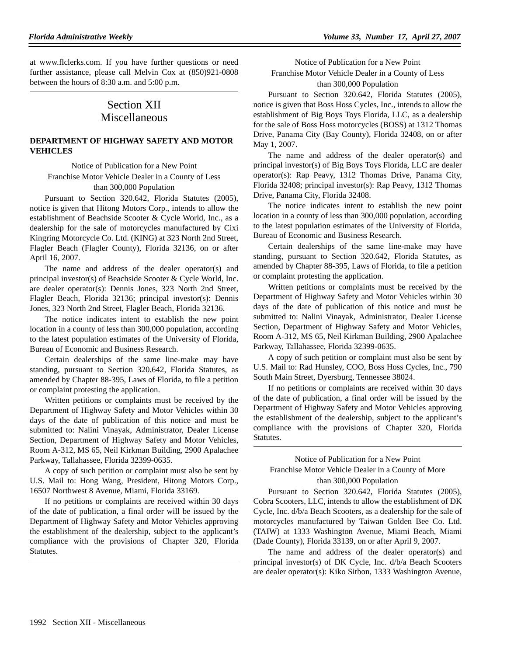at www.flclerks.com. If you have further questions or need further assistance, please call Melvin Cox at (850)921-0808 between the hours of 8:30 a.m. and 5:00 p.m.

# Section XII Miscellaneous

# **DEPARTMENT OF HIGHWAY SAFETY AND MOTOR VEHICLES**

Notice of Publication for a New Point Franchise Motor Vehicle Dealer in a County of Less than 300,000 Population

Pursuant to Section 320.642, Florida Statutes (2005), notice is given that Hitong Motors Corp., intends to allow the establishment of Beachside Scooter & Cycle World, Inc., as a dealership for the sale of motorcycles manufactured by Cixi Kingring Motorcycle Co. Ltd. (KING) at 323 North 2nd Street, Flagler Beach (Flagler County), Florida 32136, on or after April 16, 2007.

The name and address of the dealer operator(s) and principal investor(s) of Beachside Scooter & Cycle World, Inc. are dealer operator(s): Dennis Jones, 323 North 2nd Street, Flagler Beach, Florida 32136; principal investor(s): Dennis Jones, 323 North 2nd Street, Flagler Beach, Florida 32136.

The notice indicates intent to establish the new point location in a county of less than 300,000 population, according to the latest population estimates of the University of Florida, Bureau of Economic and Business Research.

Certain dealerships of the same line-make may have standing, pursuant to Section 320.642, Florida Statutes, as amended by Chapter 88-395, Laws of Florida, to file a petition or complaint protesting the application.

Written petitions or complaints must be received by the Department of Highway Safety and Motor Vehicles within 30 days of the date of publication of this notice and must be submitted to: Nalini Vinayak, Administrator, Dealer License Section, Department of Highway Safety and Motor Vehicles, Room A-312, MS 65, Neil Kirkman Building, 2900 Apalachee Parkway, Tallahassee, Florida 32399-0635.

A copy of such petition or complaint must also be sent by U.S. Mail to: Hong Wang, President, Hitong Motors Corp., 16507 Northwest 8 Avenue, Miami, Florida 33169.

If no petitions or complaints are received within 30 days of the date of publication, a final order will be issued by the Department of Highway Safety and Motor Vehicles approving the establishment of the dealership, subject to the applicant's compliance with the provisions of Chapter 320, Florida Statutes.

Notice of Publication for a New Point Franchise Motor Vehicle Dealer in a County of Less than 300,000 Population

Pursuant to Section 320.642, Florida Statutes (2005), notice is given that Boss Hoss Cycles, Inc., intends to allow the establishment of Big Boys Toys Florida, LLC, as a dealership for the sale of Boss Hoss motorcycles (BOSS) at 1312 Thomas Drive, Panama City (Bay County), Florida 32408, on or after May 1, 2007.

The name and address of the dealer operator(s) and principal investor(s) of Big Boys Toys Florida, LLC are dealer operator(s): Rap Peavy, 1312 Thomas Drive, Panama City, Florida 32408; principal investor(s): Rap Peavy, 1312 Thomas Drive, Panama City, Florida 32408.

The notice indicates intent to establish the new point location in a county of less than 300,000 population, according to the latest population estimates of the University of Florida, Bureau of Economic and Business Research.

Certain dealerships of the same line-make may have standing, pursuant to Section 320.642, Florida Statutes, as amended by Chapter 88-395, Laws of Florida, to file a petition or complaint protesting the application.

Written petitions or complaints must be received by the Department of Highway Safety and Motor Vehicles within 30 days of the date of publication of this notice and must be submitted to: Nalini Vinayak, Administrator, Dealer License Section, Department of Highway Safety and Motor Vehicles, Room A-312, MS 65, Neil Kirkman Building, 2900 Apalachee Parkway, Tallahassee, Florida 32399-0635.

A copy of such petition or complaint must also be sent by U.S. Mail to: Rad Hunsley, COO, Boss Hoss Cycles, Inc., 790 South Main Street, Dyersburg, Tennessee 38024.

If no petitions or complaints are received within 30 days of the date of publication, a final order will be issued by the Department of Highway Safety and Motor Vehicles approving the establishment of the dealership, subject to the applicant's compliance with the provisions of Chapter 320, Florida Statutes.

Notice of Publication for a New Point Franchise Motor Vehicle Dealer in a County of More than 300,000 Population

Pursuant to Section 320.642, Florida Statutes (2005), Cobra Scooters, LLC, intends to allow the establishment of DK Cycle, Inc. d/b/a Beach Scooters, as a dealership for the sale of motorcycles manufactured by Taiwan Golden Bee Co. Ltd. (TAIW) at 1333 Washington Avenue, Miami Beach, Miami (Dade County), Florida 33139, on or after April 9, 2007.

The name and address of the dealer operator(s) and principal investor(s) of DK Cycle, Inc. d/b/a Beach Scooters are dealer operator(s): Kiko Sitbon, 1333 Washington Avenue,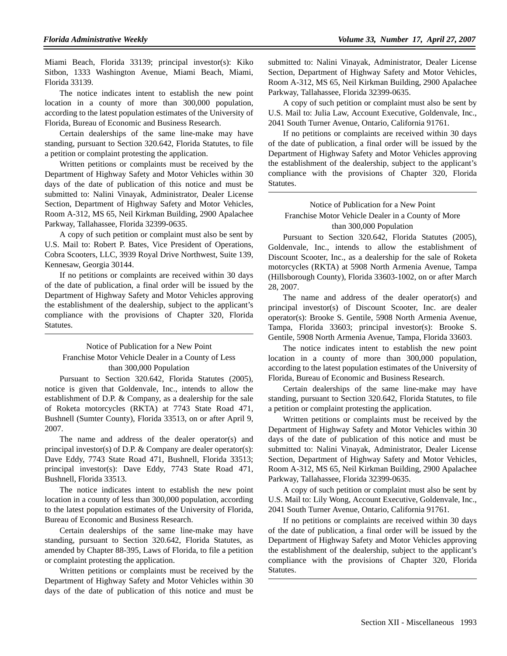Miami Beach, Florida 33139; principal investor(s): Kiko Sitbon, 1333 Washington Avenue, Miami Beach, Miami, Florida 33139.

The notice indicates intent to establish the new point location in a county of more than 300,000 population, according to the latest population estimates of the University of Florida, Bureau of Economic and Business Research.

Certain dealerships of the same line-make may have standing, pursuant to Section 320.642, Florida Statutes, to file a petition or complaint protesting the application.

Written petitions or complaints must be received by the Department of Highway Safety and Motor Vehicles within 30 days of the date of publication of this notice and must be submitted to: Nalini Vinayak, Administrator, Dealer License Section, Department of Highway Safety and Motor Vehicles, Room A-312, MS 65, Neil Kirkman Building, 2900 Apalachee Parkway, Tallahassee, Florida 32399-0635.

A copy of such petition or complaint must also be sent by U.S. Mail to: Robert P. Bates, Vice President of Operations, Cobra Scooters, LLC, 3939 Royal Drive Northwest, Suite 139, Kennesaw, Georgia 30144.

If no petitions or complaints are received within 30 days of the date of publication, a final order will be issued by the Department of Highway Safety and Motor Vehicles approving the establishment of the dealership, subject to the applicant's compliance with the provisions of Chapter 320, Florida Statutes.

# Notice of Publication for a New Point Franchise Motor Vehicle Dealer in a County of Less than 300,000 Population

Pursuant to Section 320.642, Florida Statutes (2005), notice is given that Goldenvale, Inc., intends to allow the establishment of D.P. & Company, as a dealership for the sale of Roketa motorcycles (RKTA) at 7743 State Road 471, Bushnell (Sumter County), Florida 33513, on or after April 9, 2007.

The name and address of the dealer operator(s) and principal investor(s) of D.P. & Company are dealer operator(s): Dave Eddy, 7743 State Road 471, Bushnell, Florida 33513; principal investor(s): Dave Eddy, 7743 State Road 471, Bushnell, Florida 33513.

The notice indicates intent to establish the new point location in a county of less than 300,000 population, according to the latest population estimates of the University of Florida, Bureau of Economic and Business Research.

Certain dealerships of the same line-make may have standing, pursuant to Section 320.642, Florida Statutes, as amended by Chapter 88-395, Laws of Florida, to file a petition or complaint protesting the application.

Written petitions or complaints must be received by the Department of Highway Safety and Motor Vehicles within 30 days of the date of publication of this notice and must be

submitted to: Nalini Vinayak, Administrator, Dealer License Section, Department of Highway Safety and Motor Vehicles, Room A-312, MS 65, Neil Kirkman Building, 2900 Apalachee Parkway, Tallahassee, Florida 32399-0635.

A copy of such petition or complaint must also be sent by U.S. Mail to: Julia Law, Account Executive, Goldenvale, Inc., 2041 South Turner Avenue, Ontario, California 91761.

If no petitions or complaints are received within 30 days of the date of publication, a final order will be issued by the Department of Highway Safety and Motor Vehicles approving the establishment of the dealership, subject to the applicant's compliance with the provisions of Chapter 320, Florida Statutes.

# Notice of Publication for a New Point Franchise Motor Vehicle Dealer in a County of More than 300,000 Population

Pursuant to Section 320.642, Florida Statutes (2005), Goldenvale, Inc., intends to allow the establishment of Discount Scooter, Inc., as a dealership for the sale of Roketa motorcycles (RKTA) at 5908 North Armenia Avenue, Tampa (Hillsborough County), Florida 33603-1002, on or after March 28, 2007.

The name and address of the dealer operator(s) and principal investor(s) of Discount Scooter, Inc. are dealer operator(s): Brooke S. Gentile, 5908 North Armenia Avenue, Tampa, Florida 33603; principal investor(s): Brooke S. Gentile, 5908 North Armenia Avenue, Tampa, Florida 33603.

The notice indicates intent to establish the new point location in a county of more than 300,000 population, according to the latest population estimates of the University of Florida, Bureau of Economic and Business Research.

Certain dealerships of the same line-make may have standing, pursuant to Section 320.642, Florida Statutes, to file a petition or complaint protesting the application.

Written petitions or complaints must be received by the Department of Highway Safety and Motor Vehicles within 30 days of the date of publication of this notice and must be submitted to: Nalini Vinayak, Administrator, Dealer License Section, Department of Highway Safety and Motor Vehicles, Room A-312, MS 65, Neil Kirkman Building, 2900 Apalachee Parkway, Tallahassee, Florida 32399-0635.

A copy of such petition or complaint must also be sent by U.S. Mail to: Lily Wong, Account Executive, Goldenvale, Inc., 2041 South Turner Avenue, Ontario, California 91761.

If no petitions or complaints are received within 30 days of the date of publication, a final order will be issued by the Department of Highway Safety and Motor Vehicles approving the establishment of the dealership, subject to the applicant's compliance with the provisions of Chapter 320, Florida Statutes.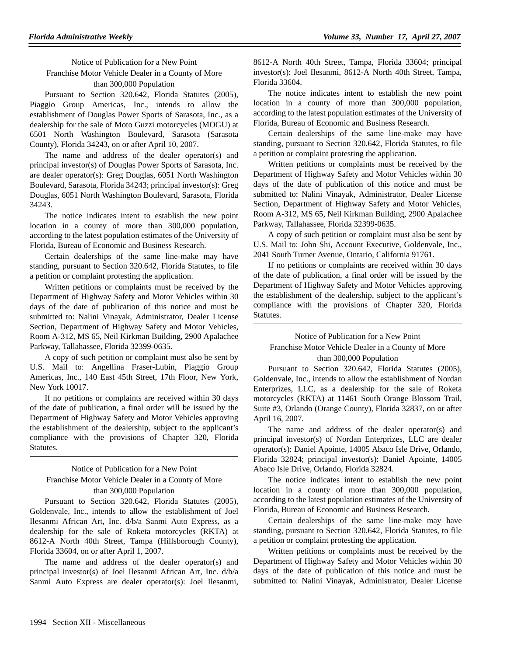Notice of Publication for a New Point Franchise Motor Vehicle Dealer in a County of More than 300,000 Population

Pursuant to Section 320.642, Florida Statutes (2005), Piaggio Group Americas, Inc., intends to allow the establishment of Douglas Power Sports of Sarasota, Inc., as a dealership for the sale of Moto Guzzi motorcycles (MOGU) at 6501 North Washington Boulevard, Sarasota (Sarasota County), Florida 34243, on or after April 10, 2007.

The name and address of the dealer operator(s) and principal investor(s) of Douglas Power Sports of Sarasota, Inc. are dealer operator(s): Greg Douglas, 6051 North Washington Boulevard, Sarasota, Florida 34243; principal investor(s): Greg Douglas, 6051 North Washington Boulevard, Sarasota, Florida 34243.

The notice indicates intent to establish the new point location in a county of more than 300,000 population, according to the latest population estimates of the University of Florida, Bureau of Economic and Business Research.

Certain dealerships of the same line-make may have standing, pursuant to Section 320.642, Florida Statutes, to file a petition or complaint protesting the application.

Written petitions or complaints must be received by the Department of Highway Safety and Motor Vehicles within 30 days of the date of publication of this notice and must be submitted to: Nalini Vinayak, Administrator, Dealer License Section, Department of Highway Safety and Motor Vehicles, Room A-312, MS 65, Neil Kirkman Building, 2900 Apalachee Parkway, Tallahassee, Florida 32399-0635.

A copy of such petition or complaint must also be sent by U.S. Mail to: Angellina Fraser-Lubin, Piaggio Group Americas, Inc., 140 East 45th Street, 17th Floor, New York, New York 10017.

If no petitions or complaints are received within 30 days of the date of publication, a final order will be issued by the Department of Highway Safety and Motor Vehicles approving the establishment of the dealership, subject to the applicant's compliance with the provisions of Chapter 320, Florida Statutes.

# Notice of Publication for a New Point Franchise Motor Vehicle Dealer in a County of More than 300,000 Population

Pursuant to Section 320.642, Florida Statutes (2005), Goldenvale, Inc., intends to allow the establishment of Joel Ilesanmi African Art, Inc. d/b/a Sanmi Auto Express, as a dealership for the sale of Roketa motorcycles (RKTA) at 8612-A North 40th Street, Tampa (Hillsborough County), Florida 33604, on or after April 1, 2007.

The name and address of the dealer operator(s) and principal investor(s) of Joel Ilesanmi African Art, Inc. d/b/a Sanmi Auto Express are dealer operator(s): Joel Ilesanmi,

8612-A North 40th Street, Tampa, Florida 33604; principal investor(s): Joel Ilesanmi, 8612-A North 40th Street, Tampa, Florida 33604.

The notice indicates intent to establish the new point location in a county of more than 300,000 population, according to the latest population estimates of the University of Florida, Bureau of Economic and Business Research.

Certain dealerships of the same line-make may have standing, pursuant to Section 320.642, Florida Statutes, to file a petition or complaint protesting the application.

Written petitions or complaints must be received by the Department of Highway Safety and Motor Vehicles within 30 days of the date of publication of this notice and must be submitted to: Nalini Vinayak, Administrator, Dealer License Section, Department of Highway Safety and Motor Vehicles, Room A-312, MS 65, Neil Kirkman Building, 2900 Apalachee Parkway, Tallahassee, Florida 32399-0635.

A copy of such petition or complaint must also be sent by U.S. Mail to: John Shi, Account Executive, Goldenvale, Inc., 2041 South Turner Avenue, Ontario, California 91761.

If no petitions or complaints are received within 30 days of the date of publication, a final order will be issued by the Department of Highway Safety and Motor Vehicles approving the establishment of the dealership, subject to the applicant's compliance with the provisions of Chapter 320, Florida Statutes.

Notice of Publication for a New Point Franchise Motor Vehicle Dealer in a County of More than 300,000 Population

Pursuant to Section 320.642, Florida Statutes (2005), Goldenvale, Inc., intends to allow the establishment of Nordan Enterprizes, LLC, as a dealership for the sale of Roketa motorcycles (RKTA) at 11461 South Orange Blossom Trail, Suite #3, Orlando (Orange County), Florida 32837, on or after April 16, 2007.

The name and address of the dealer operator(s) and principal investor(s) of Nordan Enterprizes, LLC are dealer operator(s): Daniel Apointe, 14005 Abaco Isle Drive, Orlando, Florida 32824; principal investor(s): Daniel Apointe, 14005 Abaco Isle Drive, Orlando, Florida 32824.

The notice indicates intent to establish the new point location in a county of more than 300,000 population, according to the latest population estimates of the University of Florida, Bureau of Economic and Business Research.

Certain dealerships of the same line-make may have standing, pursuant to Section 320.642, Florida Statutes, to file a petition or complaint protesting the application.

Written petitions or complaints must be received by the Department of Highway Safety and Motor Vehicles within 30 days of the date of publication of this notice and must be submitted to: Nalini Vinayak, Administrator, Dealer License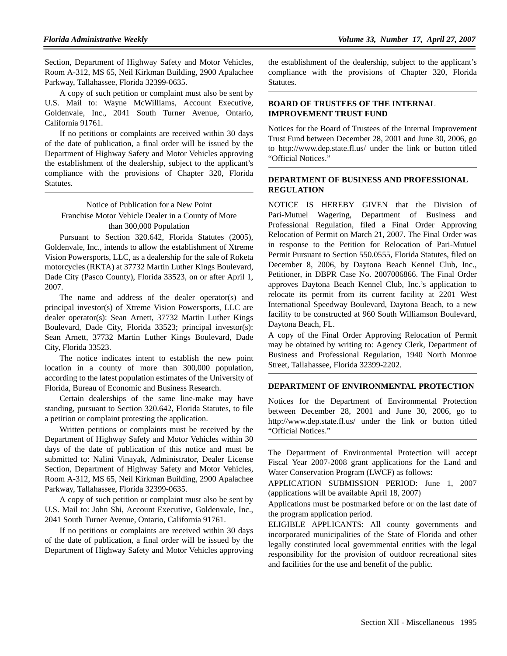Section, Department of Highway Safety and Motor Vehicles, Room A-312, MS 65, Neil Kirkman Building, 2900 Apalachee Parkway, Tallahassee, Florida 32399-0635.

A copy of such petition or complaint must also be sent by U.S. Mail to: Wayne McWilliams, Account Executive, Goldenvale, Inc., 2041 South Turner Avenue, Ontario, California 91761.

If no petitions or complaints are received within 30 days of the date of publication, a final order will be issued by the Department of Highway Safety and Motor Vehicles approving the establishment of the dealership, subject to the applicant's compliance with the provisions of Chapter 320, Florida Statutes.

Notice of Publication for a New Point Franchise Motor Vehicle Dealer in a County of More than 300,000 Population

Pursuant to Section 320.642, Florida Statutes (2005), Goldenvale, Inc., intends to allow the establishment of Xtreme Vision Powersports, LLC, as a dealership for the sale of Roketa motorcycles (RKTA) at 37732 Martin Luther Kings Boulevard, Dade City (Pasco County), Florida 33523, on or after April 1, 2007.

The name and address of the dealer operator(s) and principal investor(s) of Xtreme Vision Powersports, LLC are dealer operator(s): Sean Arnett, 37732 Martin Luther Kings Boulevard, Dade City, Florida 33523; principal investor(s): Sean Arnett, 37732 Martin Luther Kings Boulevard, Dade City, Florida 33523.

The notice indicates intent to establish the new point location in a county of more than 300,000 population, according to the latest population estimates of the University of Florida, Bureau of Economic and Business Research.

Certain dealerships of the same line-make may have standing, pursuant to Section 320.642, Florida Statutes, to file a petition or complaint protesting the application.

Written petitions or complaints must be received by the Department of Highway Safety and Motor Vehicles within 30 days of the date of publication of this notice and must be submitted to: Nalini Vinayak, Administrator, Dealer License Section, Department of Highway Safety and Motor Vehicles, Room A-312, MS 65, Neil Kirkman Building, 2900 Apalachee Parkway, Tallahassee, Florida 32399-0635.

A copy of such petition or complaint must also be sent by U.S. Mail to: John Shi, Account Executive, Goldenvale, Inc., 2041 South Turner Avenue, Ontario, California 91761.

If no petitions or complaints are received within 30 days of the date of publication, a final order will be issued by the Department of Highway Safety and Motor Vehicles approving

the establishment of the dealership, subject to the applicant's compliance with the provisions of Chapter 320, Florida Statutes.

# **BOARD OF TRUSTEES OF THE INTERNAL IMPROVEMENT TRUST FUND**

Notices for the Board of Trustees of the Internal Improvement Trust Fund between December 28, 2001 and June 30, 2006, go to http://www.dep.state.fl.us/ under the link or button titled "Official Notices."

# **DEPARTMENT OF BUSINESS AND PROFESSIONAL REGULATION**

NOTICE IS HEREBY GIVEN that the Division of Pari-Mutuel Wagering, Department of Business and Professional Regulation, filed a Final Order Approving Relocation of Permit on March 21, 2007. The Final Order was in response to the Petition for Relocation of Pari-Mutuel Permit Pursuant to Section 550.0555, Florida Statutes, filed on December 8, 2006, by Daytona Beach Kennel Club, Inc., Petitioner, in DBPR Case No. 2007006866. The Final Order approves Daytona Beach Kennel Club, Inc.'s application to relocate its permit from its current facility at 2201 West International Speedway Boulevard, Daytona Beach, to a new facility to be constructed at 960 South Williamson Boulevard, Daytona Beach, FL.

A copy of the Final Order Approving Relocation of Permit may be obtained by writing to: Agency Clerk, Department of Business and Professional Regulation, 1940 North Monroe Street, Tallahassee, Florida 32399-2202.

#### **DEPARTMENT OF ENVIRONMENTAL PROTECTION**

Notices for the Department of Environmental Protection between December 28, 2001 and June 30, 2006, go to http://www.dep.state.fl.us/ under the link or button titled "Official Notices."

The Department of Environmental Protection will accept Fiscal Year 2007-2008 grant applications for the Land and Water Conservation Program (LWCF) as follows:

APPLICATION SUBMISSION PERIOD: June 1, 2007 (applications will be available April 18, 2007)

Applications must be postmarked before or on the last date of the program application period.

ELIGIBLE APPLICANTS: All county governments and incorporated municipalities of the State of Florida and other legally constituted local governmental entities with the legal responsibility for the provision of outdoor recreational sites and facilities for the use and benefit of the public.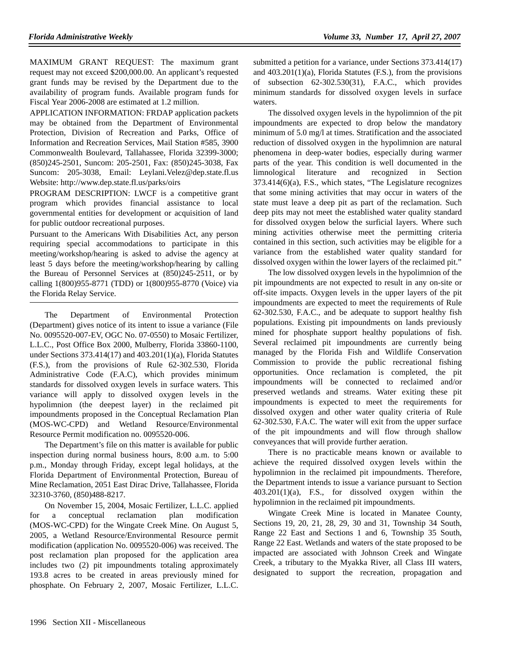MAXIMUM GRANT REQUEST: The maximum grant request may not exceed \$200,000.00. An applicant's requested grant funds may be revised by the Department due to the availability of program funds. Available program funds for Fiscal Year 2006-2008 are estimated at 1.2 million.

APPLICATION INFORMATION: FRDAP application packets may be obtained from the Department of Environmental Protection, Division of Recreation and Parks, Office of Information and Recreation Services, Mail Station #585, 3900 Commonwealth Boulevard, Tallahassee, Florida 32399-3000; (850)245-2501, Suncom: 205-2501, Fax: (850)245-3038, Fax Suncom: 205-3038, Email: Leylani.Velez@dep.state.fl.us Website: http://www.dep.state.fl.us/parks/oirs

PROGRAM DESCRIPTION: LWCF is a competitive grant program which provides financial assistance to local governmental entities for development or acquisition of land for public outdoor recreational purposes.

Pursuant to the Americans With Disabilities Act, any person requiring special accommodations to participate in this meeting/workshop/hearing is asked to advise the agency at least 5 days before the meeting/workshop/hearing by calling the Bureau of Personnel Services at (850)245-2511, or by calling 1(800)955-8771 (TDD) or 1(800)955-8770 (Voice) via the Florida Relay Service.

The Department of Environmental Protection (Department) gives notice of its intent to issue a variance (File No. 0095520-007-EV, OGC No. 07-0550) to Mosaic Fertilizer, L.L.C., Post Office Box 2000, Mulberry, Florida 33860-1100, under Sections 373.414(17) and 403.201(1)(a), Florida Statutes (F.S.), from the provisions of Rule 62-302.530, Florida Administrative Code (F.A.C), which provides minimum standards for dissolved oxygen levels in surface waters. This variance will apply to dissolved oxygen levels in the hypolimnion (the deepest layer) in the reclaimed pit impoundments proposed in the Conceptual Reclamation Plan (MOS-WC-CPD) and Wetland Resource/Environmental Resource Permit modification no. 0095520-006.

The Department's file on this matter is available for public inspection during normal business hours, 8:00 a.m. to 5:00 p.m., Monday through Friday, except legal holidays, at the Florida Department of Environmental Protection, Bureau of Mine Reclamation, 2051 East Dirac Drive, Tallahassee, Florida 32310-3760, (850)488-8217.

On November 15, 2004, Mosaic Fertilizer, L.L.C. applied for a conceptual reclamation plan modification (MOS-WC-CPD) for the Wingate Creek Mine. On August 5, 2005, a Wetland Resource/Environmental Resource permit modification (application No. 0095520-006) was received. The post reclamation plan proposed for the application area includes two (2) pit impoundments totaling approximately 193.8 acres to be created in areas previously mined for phosphate. On February 2, 2007, Mosaic Fertilizer, L.L.C.

submitted a petition for a variance, under Sections 373.414(17) and 403.201(1)(a), Florida Statutes (F.S.), from the provisions of subsection 62-302.530(31), F.A.C., which provides minimum standards for dissolved oxygen levels in surface waters.

The dissolved oxygen levels in the hypolimnion of the pit impoundments are expected to drop below the mandatory minimum of 5.0 mg/l at times. Stratification and the associated reduction of dissolved oxygen in the hypolimnion are natural phenomena in deep-water bodies, especially during warmer parts of the year. This condition is well documented in the limnological literature and recognized in Section 373.414(6)(a), F.S., which states, "The Legislature recognizes that some mining activities that may occur in waters of the state must leave a deep pit as part of the reclamation. Such deep pits may not meet the established water quality standard for dissolved oxygen below the surficial layers. Where such mining activities otherwise meet the permitting criteria contained in this section, such activities may be eligible for a variance from the established water quality standard for dissolved oxygen within the lower layers of the reclaimed pit."

The low dissolved oxygen levels in the hypolimnion of the pit impoundments are not expected to result in any on-site or off-site impacts. Oxygen levels in the upper layers of the pit impoundments are expected to meet the requirements of Rule 62-302.530, F.A.C., and be adequate to support healthy fish populations. Existing pit impoundments on lands previously mined for phosphate support healthy populations of fish. Several reclaimed pit impoundments are currently being managed by the Florida Fish and Wildlife Conservation Commission to provide the public recreational fishing opportunities. Once reclamation is completed, the pit impoundments will be connected to reclaimed and/or preserved wetlands and streams. Water exiting these pit impoundments is expected to meet the requirements for dissolved oxygen and other water quality criteria of Rule 62-302.530, F.A.C. The water will exit from the upper surface of the pit impoundments and will flow through shallow conveyances that will provide further aeration.

There is no practicable means known or available to achieve the required dissolved oxygen levels within the hypolimnion in the reclaimed pit impoundments. Therefore, the Department intends to issue a variance pursuant to Section 403.201(1)(a), F.S., for dissolved oxygen within the hypolimnion in the reclaimed pit impoundments.

Wingate Creek Mine is located in Manatee County, Sections 19, 20, 21, 28, 29, 30 and 31, Township 34 South, Range 22 East and Sections 1 and 6, Township 35 South, Range 22 East. Wetlands and waters of the state proposed to be impacted are associated with Johnson Creek and Wingate Creek, a tributary to the Myakka River, all Class III waters, designated to support the recreation, propagation and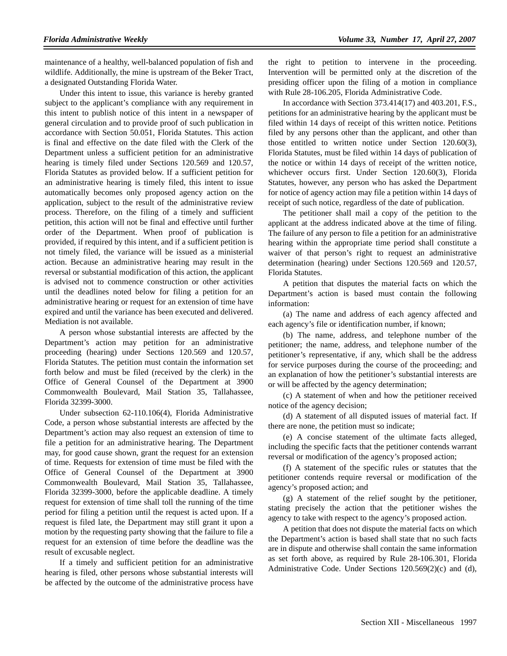maintenance of a healthy, well-balanced population of fish and wildlife. Additionally, the mine is upstream of the Beker Tract, a designated Outstanding Florida Water.

Under this intent to issue, this variance is hereby granted subject to the applicant's compliance with any requirement in this intent to publish notice of this intent in a newspaper of general circulation and to provide proof of such publication in accordance with Section 50.051, Florida Statutes. This action is final and effective on the date filed with the Clerk of the Department unless a sufficient petition for an administrative hearing is timely filed under Sections 120.569 and 120.57, Florida Statutes as provided below. If a sufficient petition for an administrative hearing is timely filed, this intent to issue automatically becomes only proposed agency action on the application, subject to the result of the administrative review process. Therefore, on the filing of a timely and sufficient petition, this action will not be final and effective until further order of the Department. When proof of publication is provided, if required by this intent, and if a sufficient petition is not timely filed, the variance will be issued as a ministerial action. Because an administrative hearing may result in the reversal or substantial modification of this action, the applicant is advised not to commence construction or other activities until the deadlines noted below for filing a petition for an administrative hearing or request for an extension of time have expired and until the variance has been executed and delivered. Mediation is not available.

A person whose substantial interests are affected by the Department's action may petition for an administrative proceeding (hearing) under Sections 120.569 and 120.57, Florida Statutes. The petition must contain the information set forth below and must be filed (received by the clerk) in the Office of General Counsel of the Department at 3900 Commonwealth Boulevard, Mail Station 35, Tallahassee, Florida 32399-3000.

Under subsection 62-110.106(4), Florida Administrative Code, a person whose substantial interests are affected by the Department's action may also request an extension of time to file a petition for an administrative hearing. The Department may, for good cause shown, grant the request for an extension of time. Requests for extension of time must be filed with the Office of General Counsel of the Department at 3900 Commonwealth Boulevard, Mail Station 35, Tallahassee, Florida 32399-3000, before the applicable deadline. A timely request for extension of time shall toll the running of the time period for filing a petition until the request is acted upon. If a request is filed late, the Department may still grant it upon a motion by the requesting party showing that the failure to file a request for an extension of time before the deadline was the result of excusable neglect.

If a timely and sufficient petition for an administrative hearing is filed, other persons whose substantial interests will be affected by the outcome of the administrative process have the right to petition to intervene in the proceeding. Intervention will be permitted only at the discretion of the presiding officer upon the filing of a motion in compliance with Rule 28-106.205, Florida Administrative Code.

In accordance with Section 373.414(17) and 403.201, F.S., petitions for an administrative hearing by the applicant must be filed within 14 days of receipt of this written notice. Petitions filed by any persons other than the applicant, and other than those entitled to written notice under Section 120.60(3), Florida Statutes, must be filed within 14 days of publication of the notice or within 14 days of receipt of the written notice, whichever occurs first. Under Section 120.60(3), Florida Statutes, however, any person who has asked the Department for notice of agency action may file a petition within 14 days of receipt of such notice, regardless of the date of publication.

The petitioner shall mail a copy of the petition to the applicant at the address indicated above at the time of filing. The failure of any person to file a petition for an administrative hearing within the appropriate time period shall constitute a waiver of that person's right to request an administrative determination (hearing) under Sections 120.569 and 120.57, Florida Statutes.

A petition that disputes the material facts on which the Department's action is based must contain the following information:

(a) The name and address of each agency affected and each agency's file or identification number, if known;

(b) The name, address, and telephone number of the petitioner; the name, address, and telephone number of the petitioner's representative, if any, which shall be the address for service purposes during the course of the proceeding; and an explanation of how the petitioner's substantial interests are or will be affected by the agency determination;

(c) A statement of when and how the petitioner received notice of the agency decision;

(d) A statement of all disputed issues of material fact. If there are none, the petition must so indicate;

(e) A concise statement of the ultimate facts alleged, including the specific facts that the petitioner contends warrant reversal or modification of the agency's proposed action;

(f) A statement of the specific rules or statutes that the petitioner contends require reversal or modification of the agency's proposed action; and

(g) A statement of the relief sought by the petitioner, stating precisely the action that the petitioner wishes the agency to take with respect to the agency's proposed action.

A petition that does not dispute the material facts on which the Department's action is based shall state that no such facts are in dispute and otherwise shall contain the same information as set forth above, as required by Rule 28-106.301, Florida Administrative Code. Under Sections 120.569(2)(c) and (d),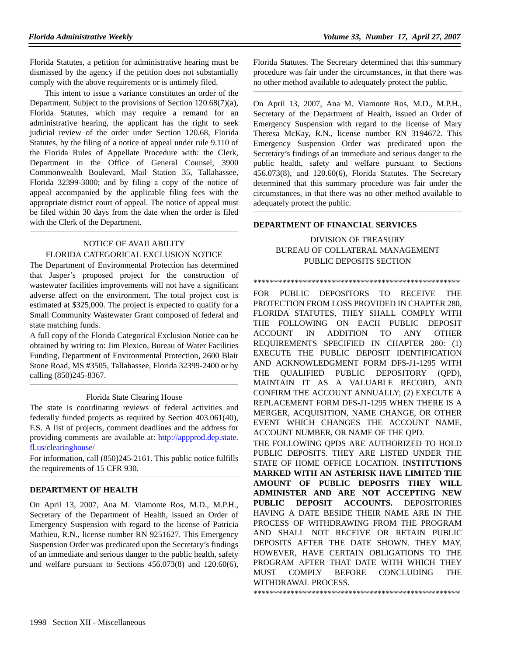Florida Statutes, a petition for administrative hearing must be dismissed by the agency if the petition does not substantially comply with the above requirements or is untimely filed.

This intent to issue a variance constitutes an order of the Department. Subject to the provisions of Section 120.68(7)(a), Florida Statutes, which may require a remand for an administrative hearing, the applicant has the right to seek judicial review of the order under Section 120.68, Florida Statutes, by the filing of a notice of appeal under rule 9.110 of the Florida Rules of Appellate Procedure with: the Clerk, Department in the Office of General Counsel, 3900 Commonwealth Boulevard, Mail Station 35, Tallahassee, Florida 32399-3000; and by filing a copy of the notice of appeal accompanied by the applicable filing fees with the appropriate district court of appeal. The notice of appeal must be filed within 30 days from the date when the order is filed with the Clerk of the Department.

# NOTICE OF AVAILABILITY FLORIDA CATEGORICAL EXCLUSION NOTICE

The Department of Environmental Protection has determined that Jasper's proposed project for the construction of wastewater facilities improvements will not have a significant adverse affect on the environment. The total project cost is estimated at \$325,000. The project is expected to qualify for a Small Community Wastewater Grant composed of federal and state matching funds.

A full copy of the Florida Categorical Exclusion Notice can be obtained by writing to: Jim Plexico, Bureau of Water Facilities Funding, Department of Environmental Protection, 2600 Blair Stone Road, MS #3505, Tallahassee, Florida 32399-2400 or by calling (850)245-8367.

# Florida State Clearing House

The state is coordinating reviews of federal activities and federally funded projects as required by Section 403.061(40), F.S. A list of projects, comment deadlines and the address for providing comments are available at: http://appprod.dep.state. fl.us/clearinghouse/

For information, call (850)245-2161. This public notice fulfills the requirements of 15 CFR 930.

# **DEPARTMENT OF HEALTH**

On April 13, 2007, Ana M. Viamonte Ros, M.D., M.P.H., Secretary of the Department of Health, issued an Order of Emergency Suspension with regard to the license of Patricia Mathieu, R.N., license number RN 9251627. This Emergency Suspension Order was predicated upon the Secretary's findings of an immediate and serious danger to the public health, safety and welfare pursuant to Sections 456.073(8) and 120.60(6),

Florida Statutes. The Secretary determined that this summary procedure was fair under the circumstances, in that there was no other method available to adequately protect the public.

On April 13, 2007, Ana M. Viamonte Ros, M.D., M.P.H., Secretary of the Department of Health, issued an Order of Emergency Suspension with regard to the license of Mary Theresa McKay, R.N., license number RN 3194672. This Emergency Suspension Order was predicated upon the Secretary's findings of an immediate and serious danger to the public health, safety and welfare pursuant to Sections 456.073(8), and 120.60(6), Florida Statutes. The Secretary determined that this summary procedure was fair under the circumstances, in that there was no other method available to adequately protect the public.

# **DEPARTMENT OF FINANCIAL SERVICES**

# DIVISION OF TREASURY BUREAU OF COLLATERAL MANAGEMENT PUBLIC DEPOSITS SECTION

\*\*\*\*\*\*\*\*\*\*\*\*\*\*\*\*\*\*\*\*\*\*\*\*\*\*\*\*\*\*\*\*\*\*\*\*\*\*\*\*\*\*\*\*\*\*\*\*\*\*

FOR PUBLIC DEPOSITORS TO RECEIVE THE PROTECTION FROM LOSS PROVIDED IN CHAPTER 280, FLORIDA STATUTES, THEY SHALL COMPLY WITH THE FOLLOWING ON EACH PUBLIC DEPOSIT ACCOUNT IN ADDITION TO ANY OTHER REQUIREMENTS SPECIFIED IN CHAPTER 280: (1) EXECUTE THE PUBLIC DEPOSIT IDENTIFICATION AND ACKNOWLEDGMENT FORM DFS-J1-1295 WITH THE QUALIFIED PUBLIC DEPOSITORY (QPD), MAINTAIN IT AS A VALUABLE RECORD, AND CONFIRM THE ACCOUNT ANNUALLY; (2) EXECUTE A REPLACEMENT FORM DFS-J1-1295 WHEN THERE IS A MERGER, ACQUISITION, NAME CHANGE, OR OTHER EVENT WHICH CHANGES THE ACCOUNT NAME, ACCOUNT NUMBER, OR NAME OF THE QPD.

THE FOLLOWING QPDS ARE AUTHORIZED TO HOLD PUBLIC DEPOSITS. THEY ARE LISTED UNDER THE STATE OF HOME OFFICE LOCATION. I**NSTITUTIONS MARKED WITH AN ASTERISK HAVE LIMITED THE AMOUNT OF PUBLIC DEPOSITS THEY WILL ADMINISTER AND ARE NOT ACCEPTING NEW PUBLIC DEPOSIT ACCOUNTS.** DEPOSITORIES HAVING A DATE BESIDE THEIR NAME ARE IN THE PROCESS OF WITHDRAWING FROM THE PROGRAM AND SHALL NOT RECEIVE OR RETAIN PUBLIC DEPOSITS AFTER THE DATE SHOWN. THEY MAY, HOWEVER, HAVE CERTAIN OBLIGATIONS TO THE PROGRAM AFTER THAT DATE WITH WHICH THEY MUST COMPLY BEFORE CONCLUDING THE WITHDRAWAL PROCESS.

\*\*\*\*\*\*\*\*\*\*\*\*\*\*\*\*\*\*\*\*\*\*\*\*\*\*\*\*\*\*\*\*\*\*\*\*\*\*\*\*\*\*\*\*\*\*\*\*\*\*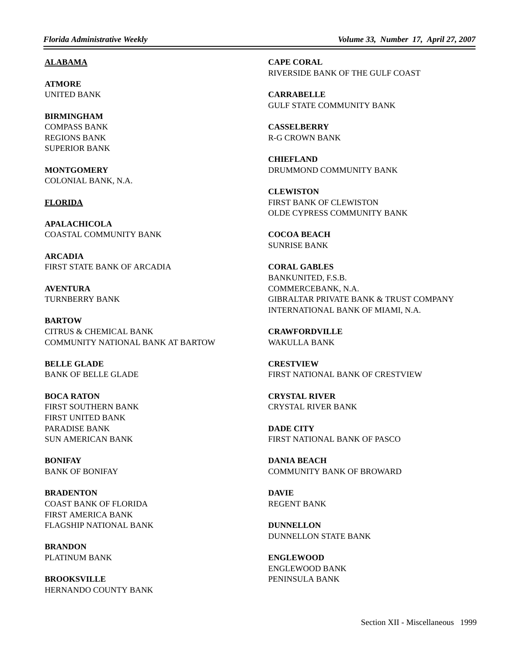#### **ALABAMA**

**ATMORE** UNITED BANK

**BIRMINGHAM** COMPASS BANK REGIONS BANK SUPERIOR BANK

**MONTGOMERY** COLONIAL BANK, N.A.

#### **FLORIDA**

**APALACHICOLA** COASTAL COMMUNITY BANK

**ARCADIA** FIRST STATE BANK OF ARCADIA

**AVENTURA** TURNBERRY BANK

**BARTOW** CITRUS & CHEMICAL BANK COMMUNITY NATIONAL BANK AT BARTOW

**BELLE GLADE** BANK OF BELLE GLADE

**BOCA RATON** FIRST SOUTHERN BANK FIRST UNITED BANK PARADISE BANK SUN AMERICAN BANK

**BONIFAY** BANK OF BONIFAY

**BRADENTON** COAST BANK OF FLORIDA FIRST AMERICA BANK FLAGSHIP NATIONAL BANK

**BRANDON** PLATINUM BANK

**BROOKSVILLE** HERNANDO COUNTY BANK **CAPE CORAL** RIVERSIDE BANK OF THE GULF COAST

**CARRABELLE** GULF STATE COMMUNITY BANK

**CASSELBERRY** R-G CROWN BANK

**CHIEFLAND** DRUMMOND COMMUNITY BANK

**CLEWISTON** FIRST BANK OF CLEWISTON OLDE CYPRESS COMMUNITY BANK

**COCOA BEACH** SUNRISE BANK

**CORAL GABLES** BANKUNITED, F.S.B. COMMERCEBANK, N.A. GIBRALTAR PRIVATE BANK & TRUST COMPANY INTERNATIONAL BANK OF MIAMI, N.A.

**CRAWFORDVILLE** WAKULLA BANK

**CRESTVIEW** FIRST NATIONAL BANK OF CRESTVIEW

**CRYSTAL RIVER** CRYSTAL RIVER BANK

**DADE CITY** FIRST NATIONAL BANK OF PASCO

**DANIA BEACH** COMMUNITY BANK OF BROWARD

**DAVIE** REGENT BANK

**DUNNELLON** DUNNELLON STATE BANK

**ENGLEWOOD** ENGLEWOOD BANK PENINSULA BANK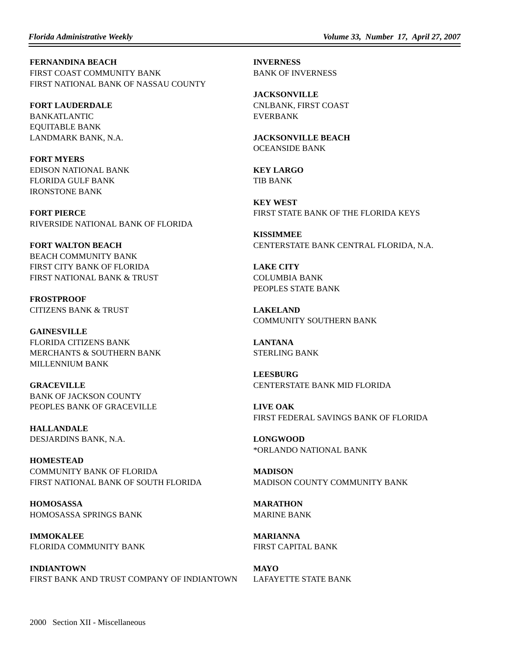**FERNANDINA BEACH** FIRST COAST COMMUNITY BANK FIRST NATIONAL BANK OF NASSAU COUNTY

**FORT LAUDERDALE** BANKATLANTIC EQUITABLE BANK LANDMARK BANK, N.A.

**FORT MYERS** EDISON NATIONAL BANK FLORIDA GULF BANK IRONSTONE BANK

**FORT PIERCE** RIVERSIDE NATIONAL BANK OF FLORIDA

**FORT WALTON BEACH** BEACH COMMUNITY BANK FIRST CITY BANK OF FLORIDA FIRST NATIONAL BANK & TRUST

**FROSTPROOF** CITIZENS BANK & TRUST

**GAINESVILLE** FLORIDA CITIZENS BANK MERCHANTS & SOUTHERN BANK MILLENNIUM BANK

**GRACEVILLE** BANK OF JACKSON COUNTY PEOPLES BANK OF GRACEVILLE

**HALLANDALE** DESJARDINS BANK, N.A.

**HOMESTEAD** COMMUNITY BANK OF FLORIDA FIRST NATIONAL BANK OF SOUTH FLORIDA

**HOMOSASSA** HOMOSASSA SPRINGS BANK

**IMMOKALEE** FLORIDA COMMUNITY BANK

**INDIANTOWN** FIRST BANK AND TRUST COMPANY OF INDIANTOWN **INVERNESS** BANK OF INVERNESS

**JACKSONVILLE** CNLBANK, FIRST COAST EVERBANK

**JACKSONVILLE BEACH** OCEANSIDE BANK

**KEY LARGO** TIB BANK

**KEY WEST** FIRST STATE BANK OF THE FLORIDA KEYS

**KISSIMMEE** CENTERSTATE BANK CENTRAL FLORIDA, N.A.

**LAKE CITY** COLUMBIA BANK PEOPLES STATE BANK

**LAKELAND** COMMUNITY SOUTHERN BANK

**LANTANA** STERLING BANK

**LEESBURG** CENTERSTATE BANK MID FLORIDA

**LIVE OAK** FIRST FEDERAL SAVINGS BANK OF FLORIDA

**LONGWOOD** \*ORLANDO NATIONAL BANK

**MADISON** MADISON COUNTY COMMUNITY BANK

**MARATHON** MARINE BANK

**MARIANNA** FIRST CAPITAL BANK

**MAYO** LAFAYETTE STATE BANK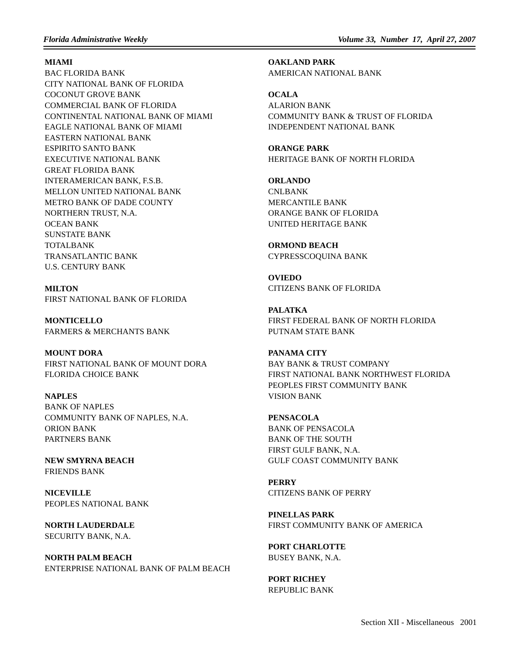**MIAMI**

BAC FLORIDA BANK CITY NATIONAL BANK OF FLORIDA COCONUT GROVE BANK COMMERCIAL BANK OF FLORIDA CONTINENTAL NATIONAL BANK OF MIAMI EAGLE NATIONAL BANK OF MIAMI EASTERN NATIONAL BANK ESPIRITO SANTO BANK EXECUTIVE NATIONAL BANK GREAT FLORIDA BANK INTERAMERICAN BANK, F.S.B. MELLON UNITED NATIONAL BANK METRO BANK OF DADE COUNTY NORTHERN TRUST, N.A. OCEAN BANK SUNSTATE BANK TOTALBANK TRANSATLANTIC BANK U.S. CENTURY BANK

**MILTON** FIRST NATIONAL BANK OF FLORIDA

**MONTICELLO** FARMERS & MERCHANTS BANK

**MOUNT DORA** FIRST NATIONAL BANK OF MOUNT DORA FLORIDA CHOICE BANK

**NAPLES** BANK OF NAPLES COMMUNITY BANK OF NAPLES, N.A. ORION BANK PARTNERS BANK

**NEW SMYRNA BEACH** FRIENDS BANK

**NICEVILLE** PEOPLES NATIONAL BANK

**NORTH LAUDERDALE** SECURITY BANK, N.A.

**NORTH PALM BEACH** ENTERPRISE NATIONAL BANK OF PALM BEACH **OAKLAND PARK** AMERICAN NATIONAL BANK

**OCALA** ALARION BANK COMMUNITY BANK & TRUST OF FLORIDA INDEPENDENT NATIONAL BANK

**ORANGE PARK** HERITAGE BANK OF NORTH FLORIDA

**ORLANDO** CNLBANK MERCANTILE BANK ORANGE BANK OF FLORIDA UNITED HERITAGE BANK

**ORMOND BEACH** CYPRESSCOQUINA BANK

**OVIEDO** CITIZENS BANK OF FLORIDA

**PALATKA** FIRST FEDERAL BANK OF NORTH FLORIDA PUTNAM STATE BANK

**PANAMA CITY** BAY BANK & TRUST COMPANY FIRST NATIONAL BANK NORTHWEST FLORIDA PEOPLES FIRST COMMUNITY BANK VISION BANK

**PENSACOLA** BANK OF PENSACOLA BANK OF THE SOUTH FIRST GULF BANK, N.A. GULF COAST COMMUNITY BANK

**PERRY** CITIZENS BANK OF PERRY

**PINELLAS PARK** FIRST COMMUNITY BANK OF AMERICA

**PORT CHARLOTTE** BUSEY BANK, N.A.

**PORT RICHEY** REPUBLIC BANK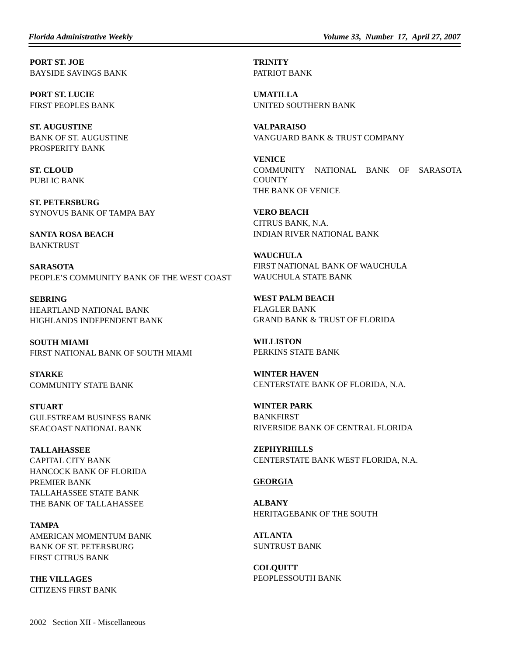**PORT ST. JOE** BAYSIDE SAVINGS BANK

**PORT ST. LUCIE** FIRST PEOPLES BANK

**ST. AUGUSTINE** BANK OF ST. AUGUSTINE PROSPERITY BANK

**ST. CLOUD** PUBLIC BANK

**ST. PETERSBURG** SYNOVUS BANK OF TAMPA BAY

**SANTA ROSA BEACH** BANKTRUST

**SARASOTA** PEOPLE'S COMMUNITY BANK OF THE WEST COAST

**SEBRING** HEARTLAND NATIONAL BANK HIGHLANDS INDEPENDENT BANK

**SOUTH MIAMI** FIRST NATIONAL BANK OF SOUTH MIAMI

**STARKE** COMMUNITY STATE BANK

**STUART** GULFSTREAM BUSINESS BANK SEACOAST NATIONAL BANK

**TALLAHASSEE** CAPITAL CITY BANK HANCOCK BANK OF FLORIDA PREMIER BANK TALLAHASSEE STATE BANK THE BANK OF TALLAHASSEE

**TAMPA** AMERICAN MOMENTUM BANK BANK OF ST. PETERSBURG FIRST CITRUS BANK

**THE VILLAGES** CITIZENS FIRST BANK **TRINITY** PATRIOT BANK

**UMATILLA** UNITED SOUTHERN BANK

**VALPARAISO** VANGUARD BANK & TRUST COMPANY

**VENICE** COMMUNITY NATIONAL BANK OF SARASOTA **COUNTY** THE BANK OF VENICE

**VERO BEACH** CITRUS BANK, N.A. INDIAN RIVER NATIONAL BANK

**WAUCHULA** FIRST NATIONAL BANK OF WAUCHULA WAUCHULA STATE BANK

**WEST PALM BEACH** FLAGLER BANK GRAND BANK & TRUST OF FLORIDA

**WILLISTON** PERKINS STATE BANK

**WINTER HAVEN** CENTERSTATE BANK OF FLORIDA, N.A.

**WINTER PARK** BANKFIRST RIVERSIDE BANK OF CENTRAL FLORIDA

**ZEPHYRHILLS** CENTERSTATE BANK WEST FLORIDA, N.A.

# **GEORGIA**

**ALBANY** HERITAGEBANK OF THE SOUTH

**ATLANTA** SUNTRUST BANK

**COLQUITT** PEOPLESSOUTH BANK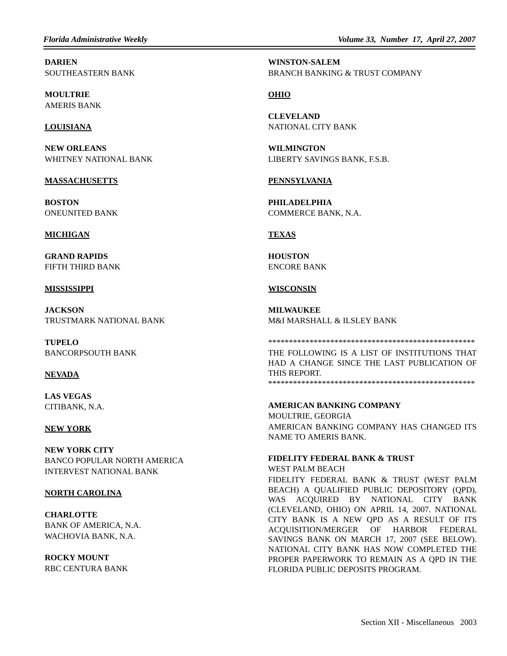*Florida Administrative Weekly Volume 33, Number 17, April 27, 2007*

**DARIEN** SOUTHEASTERN BANK

**MOULTRIE** AMERIS BANK

# **LOUISIANA**

**NEW ORLEANS** WHITNEY NATIONAL BANK

#### **MASSACHUSETTS**

**BOSTON** ONEUNITED BANK

# **MICHIGAN**

**GRAND RAPIDS** FIFTH THIRD BANK

#### **MISSISSIPPI**

**JACKSON** TRUSTMARK NATIONAL BANK

**TUPELO** BANCORPSOUTH BANK

# **NEVADA**

**LAS VEGAS** CITIBANK, N.A.

# **NEW YORK**

**NEW YORK CITY** BANCO POPULAR NORTH AMERICA INTERVEST NATIONAL BANK

#### **NORTH CAROLINA**

**CHARLOTTE** BANK OF AMERICA, N.A. WACHOVIA BANK, N.A.

**ROCKY MOUNT** RBC CENTURA BANK

**WINSTON-SALEM** BRANCH BANKING & TRUST COMPANY

# **OHIO**

**CLEVELAND** NATIONAL CITY BANK

**WILMINGTON** LIBERTY SAVINGS BANK, F.S.B.

# **PENNSYLVANIA**

**PHILADELPHIA** COMMERCE BANK, N.A.

# **TEXAS**

**HOUSTON** ENCORE BANK

# **WISCONSIN**

**MILWAUKEE** M&I MARSHALL & ILSLEY BANK

\*\*\*\*\*\*\*\*\*\*\*\*\*\*\*\*\*\*\*\*\*\*\*\*\*\*\*\*\*\*\*\*\*\*\*\*\*\*\*\*\*\*\*\*\*\*\*\*\*\*

THE FOLLOWING IS A LIST OF INSTITUTIONS THAT HAD A CHANGE SINCE THE LAST PUBLICATION OF THIS REPORT. \*\*\*\*\*\*\*\*\*\*\*\*\*\*\*\*\*\*\*\*\*\*\*\*\*\*\*\*\*\*\*\*\*\*\*\*\*\*\*\*\*\*\*\*\*\*\*\*\*\*

#### **AMERICAN BANKING COMPANY**

MOULTRIE, GEORGIA AMERICAN BANKING COMPANY HAS CHANGED ITS NAME TO AMERIS BANK.

#### **FIDELITY FEDERAL BANK & TRUST**

WEST PALM BEACH FIDELITY FEDERAL BANK & TRUST (WEST PALM BEACH) A QUALIFIED PUBLIC DEPOSITORY (QPD), WAS ACQUIRED BY NATIONAL CITY BANK (CLEVELAND, OHIO) ON APRIL 14, 2007. NATIONAL CITY BANK IS A NEW QPD AS A RESULT OF ITS ACQUISITION/MERGER OF HARBOR FEDERAL SAVINGS BANK ON MARCH 17, 2007 (SEE BELOW). NATIONAL CITY BANK HAS NOW COMPLETED THE PROPER PAPERWORK TO REMAIN AS A QPD IN THE FLORIDA PUBLIC DEPOSITS PROGRAM.